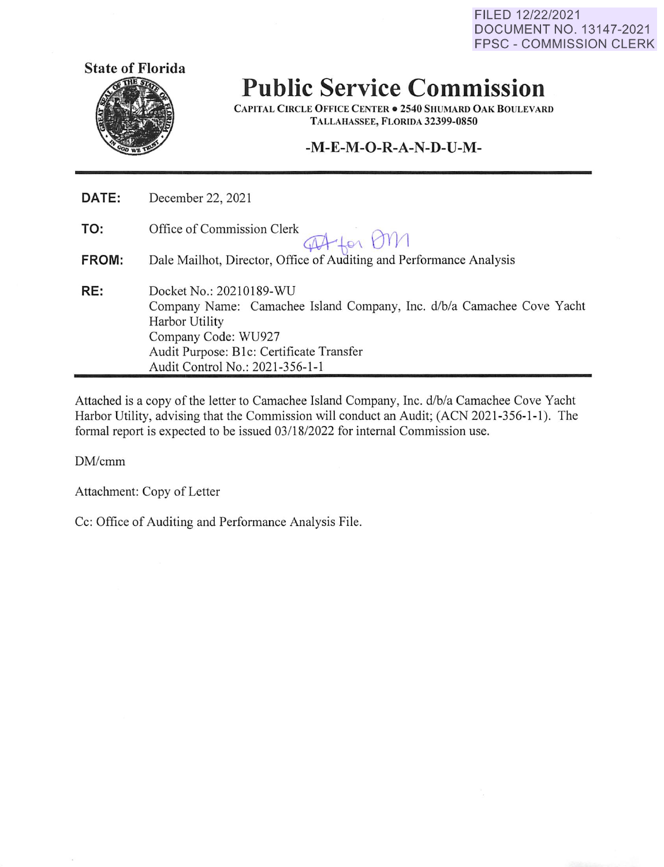FILED 12/22/2021 DOCUMENT NO. 13147-2021 FPSC - COMMISSION CLERK



**Public Service Commission** 

**CAPITAL CIRCLE OFFICE CENTER• 2540 SHUMARD OAK BOULEVARD TALLAHASSEE, FLORIDA 32399-0850** 

## **-M-E-M-O-R-A-N-D-U-M-**

| DATE: | December 22, 2021                                                                                                                                                                                                        |
|-------|--------------------------------------------------------------------------------------------------------------------------------------------------------------------------------------------------------------------------|
| TO:   | Office of Commission Clerk<br>PA for OM                                                                                                                                                                                  |
| FROM: | Dale Mailhot, Director, Office of Auditing and Performance Analysis                                                                                                                                                      |
| RE:   | Docket No.: 20210189-WU<br>Company Name: Camachee Island Company, Inc. d/b/a Camachee Cove Yacht<br>Harbor Utility<br>Company Code: WU927<br>Audit Purpose: B1c: Certificate Transfer<br>Audit Control No.: 2021-356-1-1 |

Attached is a copy of the letter to Camachee Island Company, Inc. d/b/a Camachee Cove Yacht Harbor Utility, advising that the Commission will conduct an Audit; (ACN 2021-356-1-1 ). The formal report is expected to be issued 03/18/2022 for internal Commission use.

DM/cmm

Attachment: Copy of Letter

Cc: Office of Auditing and Performance Analysis File.